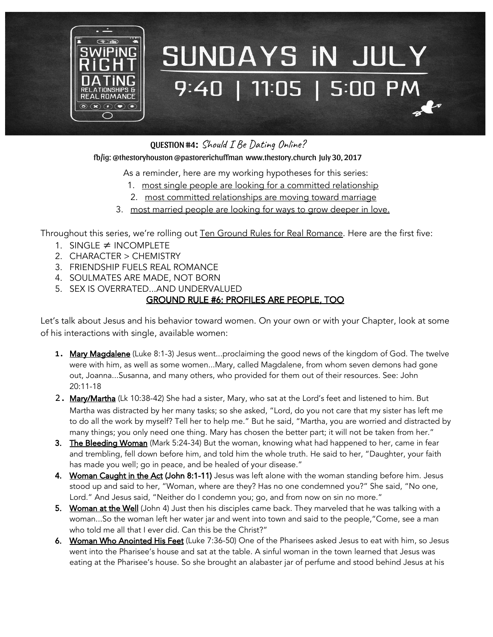

# SUNDAYS IN JULY 9:40 | 11:05 | 5:00 PM

QUESTION #4: Should I Be Dating Online?

#### fb/ig: @thestoryhouston @pastorerichuffman [www.thestory.church](http://www.thestory.church/) July 30, 2017

As a reminder, here are my working hypotheses for this series:

- 1. most single people are looking for a committed relationship
- 2. most committed relationships are moving toward marriage
- 3. most married people are looking for ways to grow deeper in love.

Throughout this series, we're rolling out Ten Ground Rules for Real Romance. Here are the first five:

- 1. SINGLE ≠ INCOMPLETE
- 2. CHARACTER > CHEMISTRY
- 3. FRIENDSHIP FUELS REAL ROMANCE
- 4. SOULMATES ARE MADE, NOT BORN
- 5. SEX IS OVERRATED...AND UNDERVALUED

### GROUND RULE #6: PROFILES ARE PEOPLE, TOO

Let's talk about Jesus and his behavior toward women. On your own or with your Chapter, look at some of his interactions with single, available women:

- 1. Mary Magdalene (Luke 8:1-3) Jesus went...proclaiming the good news of the kingdom of God. The twelve were with him, as well as some women...Mary, called Magdalene, from whom seven demons had gone out, Joanna...Susanna, and many others, who provided for them out of their resources. See: John 20:11-18
- 2. Mary/Martha (Lk 10:38-42) She had a sister, Mary, who sat at the Lord's feet and listened to him. But Martha was distracted by her many tasks; so she asked, "Lord, do you not care that my sister has left me to do all the work by myself? Tell her to help me." But he said, "Martha, you are worried and distracted by many things; you only need one thing. Mary has chosen the better part; it will not be taken from her."
- 3. The Bleeding Woman (Mark 5:24-34) But the woman, knowing what had happened to her, came in fear and trembling, fell down before him, and told him the whole truth. He said to her, "Daughter, your faith has made you well; go in peace, and be healed of your disease."
- 4. Woman Caught in the Act (John 8:1-11) Jesus was left alone with the woman standing before him. Jesus stood up and said to her, "Woman, where are they? Has no one condemned you?" She said, "No one, Lord." And Jesus said, "Neither do I condemn you; go, and from now on sin no more."
- 5. Woman at the Well (John 4) Just then his disciples came back. They marveled that he was talking with a woman...So the woman left her water jar and went into town and said to the people,"Come, see a man who told me all that I ever did. Can this be the Christ?"
- 6. Woman Who Anointed His Feet (Luke 7:36-50) One of the Pharisees asked Jesus to eat with him, so Jesus went into the Pharisee's house and sat at the table. A sinful woman in the town learned that Jesus was eating at the Pharisee's house. So she brought an alabaster jar of perfume and stood behind Jesus at his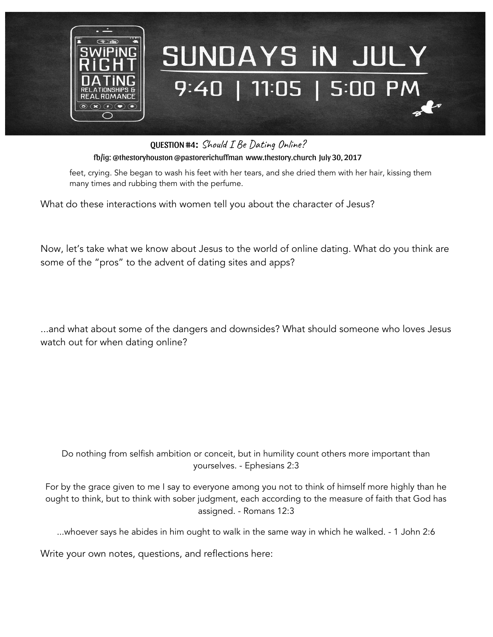

# SUNDAYS IN JULY 9:40 | 11:05 | 5:00 PM

QUESTION #4: Should I Be Dating Online?

fb/ig: @thestoryhouston @pastorerichuffman [www.thestory.church](http://www.thestory.church/) July 30, 2017

feet, crying. She began to wash his feet with her tears, and she dried them with her hair, kissing them many times and rubbing them with the perfume.

What do these interactions with women tell you about the character of Jesus?

Now, let's take what we know about Jesus to the world of online dating. What do you think are some of the "pros" to the advent of dating sites and apps?

...and what about some of the dangers and downsides? What should someone who loves Jesus watch out for when dating online?

Do nothing from selfish ambition or conceit, but in humility count others more important than yourselves. - Ephesians 2:3

For by the grace given to me I say to everyone among you not to think of himself more highly than he ought to think, but to think with sober judgment, each according to the measure of faith that God has assigned. - Romans 12:3

...whoever says he abides in him ought to walk in the same way in which he walked. - 1 John 2:6

Write your own notes, questions, and reflections here: